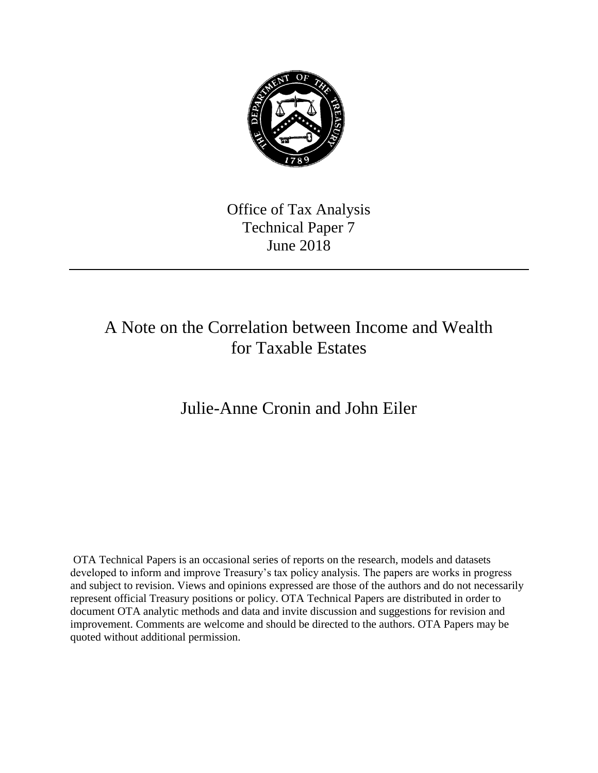

Office of Tax Analysis Technical Paper 7 June 2018

## A Note on the Correlation between Income and Wealth for Taxable Estates

Julie-Anne Cronin and John Eiler

OTA Technical Papers is an occasional series of reports on the research, models and datasets developed to inform and improve Treasury's tax policy analysis. The papers are works in progress and subject to revision. Views and opinions expressed are those of the authors and do not necessarily represent official Treasury positions or policy. OTA Technical Papers are distributed in order to document OTA analytic methods and data and invite discussion and suggestions for revision and improvement. Comments are welcome and should be directed to the authors. OTA Papers may be quoted without additional permission.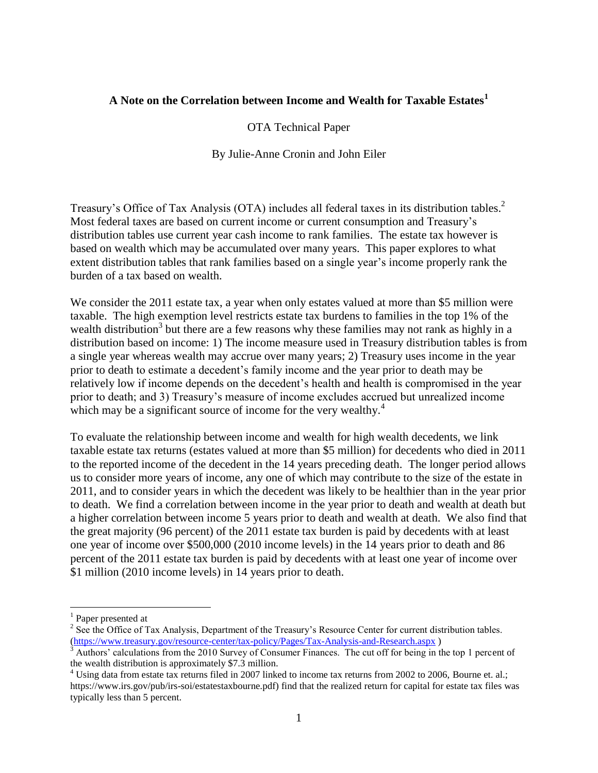### **<sup>1</sup> A Note on the Correlation between Income and Wealth for Taxable Estates**

#### OTA Technical Paper

By Julie-Anne Cronin and John Eiler

Treasury's Office of Tax Analysis (OTA) includes all federal taxes in its distribution tables.<sup>2</sup> Most federal taxes are based on current income or current consumption and Treasury's distribution tables use current year cash income to rank families. The estate tax however is based on wealth which may be accumulated over many years. This paper explores to what extent distribution tables that rank families based on a single year's income properly rank the burden of a tax based on wealth.

We consider the 2011 estate tax, a year when only estates valued at more than \$5 million were taxable. The high exemption level restricts estate tax burdens to families in the top 1% of the wealth distribution<sup>3</sup> but there are a few reasons why these families may not rank as highly in a distribution based on income: 1) The income measure used in Treasury distribution tables is from a single year whereas wealth may accrue over many years; 2) Treasury uses income in the year prior to death to estimate a decedent's family income and the year prior to death may be relatively low if income depends on the decedent's health and health is compromised in the year prior to death; and 3) Treasury's measure of income excludes accrued but unrealized income which may be a significant source of income for the very wealthy.<sup>4</sup>

To evaluate the relationship between income and wealth for high wealth decedents, we link taxable estate tax returns (estates valued at more than \$5 million) for decedents who died in 2011 to the reported income of the decedent in the 14 years preceding death. The longer period allows us to consider more years of income, any one of which may contribute to the size of the estate in 2011, and to consider years in which the decedent was likely to be healthier than in the year prior to death. We find a correlation between income in the year prior to death and wealth at death but a higher correlation between income 5 years prior to death and wealth at death. We also find that the great majority (96 percent) of the 2011 estate tax burden is paid by decedents with at least one year of income over \$500,000 (2010 income levels) in the 14 years prior to death and 86 percent of the 2011 estate tax burden is paid by decedents with at least one year of income over \$1 million (2010 income levels) in 14 years prior to death.

<sup>&</sup>lt;sup>1</sup> Paper presented at

 $2^2$  See the Office of Tax Analysis, Department of the Treasury's Resource Center for current distribution tables. (https://www.treasury.gov/resource-center/tax-policy/Pages/Tax-Analysis-and-Research.aspx)<br><sup>3</sup> Authors' calculations from the 2010 Survey of Consumer Finances. The cut off for being in the top 1 percent of

the wealth distribution is approximately \$7.3 million.

<sup>&</sup>lt;sup>4</sup> Using data from estate tax returns filed in 2007 linked to income tax returns from 2002 to 2006, Bourne et. al.; https://www.irs.gov/pub/irs-soi/estatestaxbourne.pdf) find that the realized return for capital for estate tax files was typically less than 5 percent.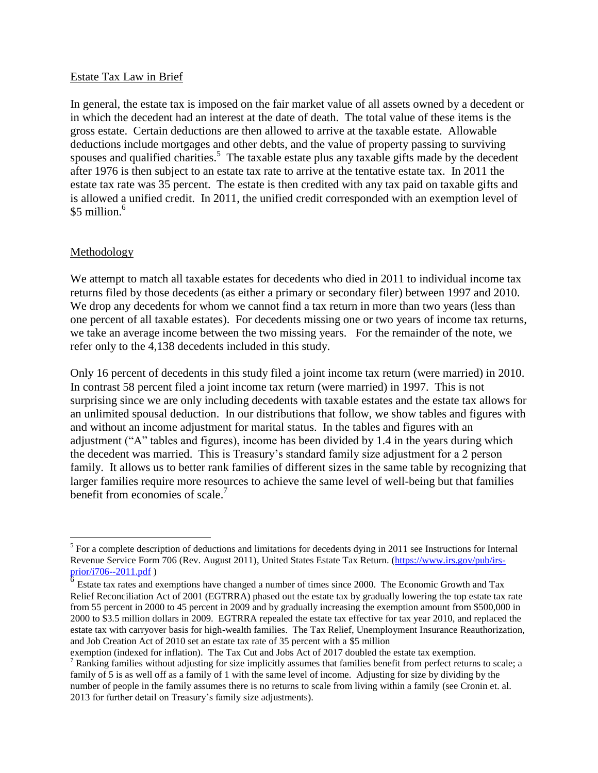#### Estate Tax Law in Brief

In general, the estate tax is imposed on the fair market value of all assets owned by a decedent or in which the decedent had an interest at the date of death. The total value of these items is the gross estate. Certain deductions are then allowed to arrive at the taxable estate. Allowable deductions include mortgages and other debts, and the value of property passing to surviving spouses and qualified charities.<sup>5</sup> The taxable estate plus any taxable gifts made by the decedent after 1976 is then subject to an estate tax rate to arrive at the tentative estate tax. In 2011 the estate tax rate was 35 percent. The estate is then credited with any tax paid on taxable gifts and is allowed a unified credit. In 2011, the unified credit corresponded with an exemption level of \$5 million. $6$ 

#### **Methodology**

We attempt to match all taxable estates for decedents who died in 2011 to individual income tax returns filed by those decedents (as either a primary or secondary filer) between 1997 and 2010. We drop any decedents for whom we cannot find a tax return in more than two years (less than one percent of all taxable estates). For decedents missing one or two years of income tax returns, we take an average income between the two missing years. For the remainder of the note, we refer only to the 4,138 decedents included in this study.

Only 16 percent of decedents in this study filed a joint income tax return (were married) in 2010. In contrast 58 percent filed a joint income tax return (were married) in 1997. This is not surprising since we are only including decedents with taxable estates and the estate tax allows for an unlimited spousal deduction. In our distributions that follow, we show tables and figures with and without an income adjustment for marital status. In the tables and figures with an adjustment ("A" tables and figures), income has been divided by 1.4 in the years during which the decedent was married. This is Treasury's standard family size adjustment for a 2 person family. It allows us to better rank families of different sizes in the same table by recognizing that larger families require more resources to achieve the same level of well-being but that families benefit from economies of scale.<sup>7</sup>

 $<sup>5</sup>$  For a complete description of deductions and limitations for decedents dying in 2011 see Instructions for Internal</sup> Revenue Service Form 706 (Rev. August 2011), United States Estate Tax Return. [\(https://www.irs.gov/pub/irs](https://www.irs.gov/pub/irs-prior/i706--2011.pdf)[prior/i706--2011.pdf](https://www.irs.gov/pub/irs-prior/i706--2011.pdf) )

 $\overline{6}$  Estate tax rates and exemptions have changed a number of times since 2000. The Economic Growth and Tax Relief Reconciliation Act of 2001 (EGTRRA) phased out the estate tax by gradually lowering the top estate tax rate from 55 percent in 2000 to 45 percent in 2009 and by gradually increasing the exemption amount from \$500,000 in 2000 to \$3.5 million dollars in 2009. EGTRRA repealed the estate tax effective for tax year 2010, and replaced the estate tax with carryover basis for high-wealth families. The Tax Relief, Unemployment Insurance Reauthorization, and Job Creation Act of 2010 set an estate tax rate of 35 percent with a \$5 million

exemption (indexed for inflation). The Tax Cut and Jobs Act of 2017 doubled the estate tax exemption.

 2013 for further detail on Treasury's family size adjustments). <sup>7</sup> Ranking families without adjusting for size implicitly assumes that families benefit from perfect returns to scale; a family of 5 is as well off as a family of 1 with the same level of income. Adjusting for size by dividing by the number of people in the family assumes there is no returns to scale from living within a family (see Cronin et. al.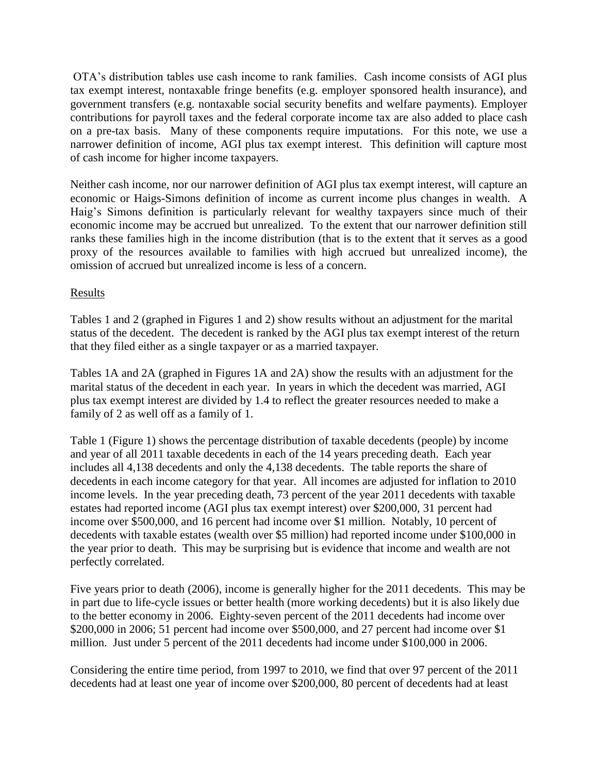OTA's distribution tables use cash income to rank families. Cash income consists of AGI plus tax exempt interest, nontaxable fringe benefits (e.g. employer sponsored health insurance), and government transfers (e.g. nontaxable social security benefits and welfare payments). Employer contributions for payroll taxes and the federal corporate income tax are also added to place cash on a pre-tax basis. Many of these components require imputations. For this note, we use a narrower definition of income, AGI plus tax exempt interest. This definition will capture most of cash income for higher income taxpayers.

Neither cash income, nor our narrower definition of AGI plus tax exempt interest, will capture an economic or Haigs-Simons definition of income as current income plus changes in wealth. A Haig's Simons definition is particularly relevant for wealthy taxpayers since much of their economic income may be accrued but unrealized. To the extent that our narrower definition still ranks these families high in the income distribution (that is to the extent that it serves as a good proxy of the resources available to families with high accrued but unrealized income), the omission of accrued but unrealized income is less of a concern.

#### Results

Tables 1 and 2 (graphed in Figures 1 and 2) show results without an adjustment for the marital status of the decedent. The decedent is ranked by the AGI plus tax exempt interest of the return that they filed either as a single taxpayer or as a married taxpayer.

Tables 1A and 2A (graphed in Figures 1A and 2A) show the results with an adjustment for the marital status of the decedent in each year. In years in which the decedent was married, AGI plus tax exempt interest are divided by 1.4 to reflect the greater resources needed to make a family of 2 as well off as a family of 1.

Table 1 (Figure 1) shows the percentage distribution of taxable decedents (people) by income and year of all 2011 taxable decedents in each of the 14 years preceding death. Each year includes all 4,138 decedents and only the 4,138 decedents. The table reports the share of decedents in each income category for that year. All incomes are adjusted for inflation to 2010 income levels. In the year preceding death, 73 percent of the year 2011 decedents with taxable estates had reported income (AGI plus tax exempt interest) over \$200,000, 31 percent had income over \$500,000, and 16 percent had income over \$1 million. Notably, 10 percent of decedents with taxable estates (wealth over \$5 million) had reported income under \$100,000 in the year prior to death. This may be surprising but is evidence that income and wealth are not perfectly correlated.

Five years prior to death (2006), income is generally higher for the 2011 decedents. This may be in part due to life-cycle issues or better health (more working decedents) but it is also likely due to the better economy in 2006. Eighty-seven percent of the 2011 decedents had income over \$200,000 in 2006; 51 percent had income over \$500,000, and 27 percent had income over \$1 million. Just under 5 percent of the 2011 decedents had income under \$100,000 in 2006.

Considering the entire time period, from 1997 to 2010, we find that over 97 percent of the 2011 decedents had at least one year of income over \$200,000, 80 percent of decedents had at least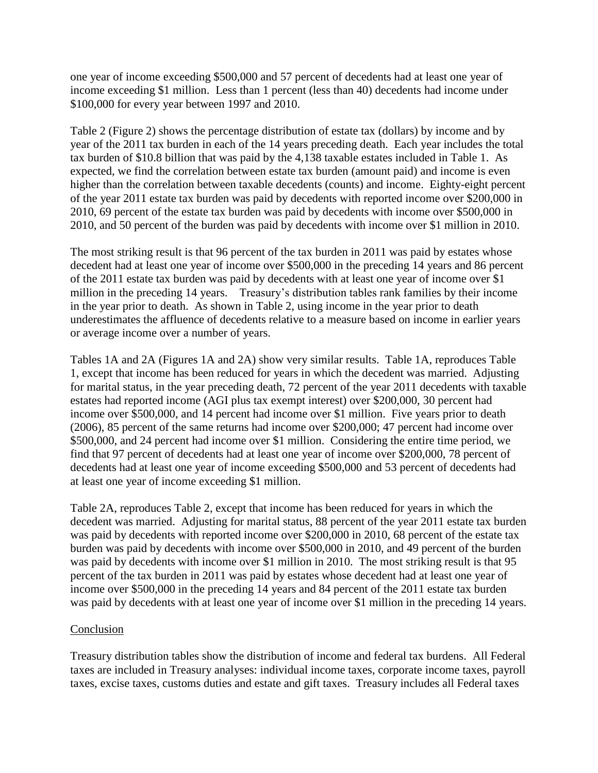one year of income exceeding \$500,000 and 57 percent of decedents had at least one year of income exceeding \$1 million. Less than 1 percent (less than 40) decedents had income under \$100,000 for every year between 1997 and 2010.

Table 2 (Figure 2) shows the percentage distribution of estate tax (dollars) by income and by year of the 2011 tax burden in each of the 14 years preceding death. Each year includes the total tax burden of \$10.8 billion that was paid by the 4,138 taxable estates included in Table 1. As expected, we find the correlation between estate tax burden (amount paid) and income is even higher than the correlation between taxable decedents (counts) and income. Eighty-eight percent of the year 2011 estate tax burden was paid by decedents with reported income over \$200,000 in 2010, 69 percent of the estate tax burden was paid by decedents with income over \$500,000 in 2010, and 50 percent of the burden was paid by decedents with income over \$1 million in 2010.

The most striking result is that 96 percent of the tax burden in 2011 was paid by estates whose decedent had at least one year of income over \$500,000 in the preceding 14 years and 86 percent of the 2011 estate tax burden was paid by decedents with at least one year of income over \$1 million in the preceding 14 years. Treasury's distribution tables rank families by their income in the year prior to death. As shown in Table 2, using income in the year prior to death underestimates the affluence of decedents relative to a measure based on income in earlier years or average income over a number of years.

Tables 1A and 2A (Figures 1A and 2A) show very similar results. Table 1A, reproduces Table 1, except that income has been reduced for years in which the decedent was married. Adjusting for marital status, in the year preceding death, 72 percent of the year 2011 decedents with taxable estates had reported income (AGI plus tax exempt interest) over \$200,000, 30 percent had income over \$500,000, and 14 percent had income over \$1 million. Five years prior to death (2006), 85 percent of the same returns had income over \$200,000; 47 percent had income over \$500,000, and 24 percent had income over \$1 million. Considering the entire time period, we find that 97 percent of decedents had at least one year of income over \$200,000, 78 percent of decedents had at least one year of income exceeding \$500,000 and 53 percent of decedents had at least one year of income exceeding \$1 million.

Table 2A, reproduces Table 2, except that income has been reduced for years in which the decedent was married. Adjusting for marital status, 88 percent of the year 2011 estate tax burden was paid by decedents with reported income over \$200,000 in 2010, 68 percent of the estate tax burden was paid by decedents with income over \$500,000 in 2010, and 49 percent of the burden was paid by decedents with income over \$1 million in 2010. The most striking result is that 95 percent of the tax burden in 2011 was paid by estates whose decedent had at least one year of income over \$500,000 in the preceding 14 years and 84 percent of the 2011 estate tax burden was paid by decedents with at least one year of income over \$1 million in the preceding 14 years.

#### Conclusion

Treasury distribution tables show the distribution of income and federal tax burdens. All Federal taxes are included in Treasury analyses: individual income taxes, corporate income taxes, payroll taxes, excise taxes, customs duties and estate and gift taxes. Treasury includes all Federal taxes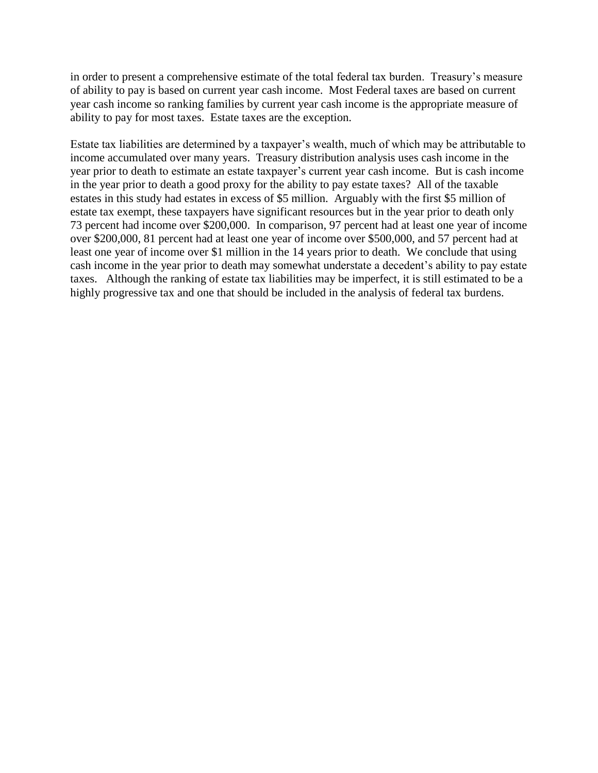in order to present a comprehensive estimate of the total federal tax burden. Treasury's measure of ability to pay is based on current year cash income. Most Federal taxes are based on current year cash income so ranking families by current year cash income is the appropriate measure of ability to pay for most taxes. Estate taxes are the exception.

Estate tax liabilities are determined by a taxpayer's wealth, much of which may be attributable to income accumulated over many years. Treasury distribution analysis uses cash income in the year prior to death to estimate an estate taxpayer's current year cash income. But is cash income in the year prior to death a good proxy for the ability to pay estate taxes? All of the taxable estates in this study had estates in excess of \$5 million. Arguably with the first \$5 million of estate tax exempt, these taxpayers have significant resources but in the year prior to death only 73 percent had income over \$200,000. In comparison, 97 percent had at least one year of income over \$200,000, 81 percent had at least one year of income over \$500,000, and 57 percent had at least one year of income over \$1 million in the 14 years prior to death. We conclude that using cash income in the year prior to death may somewhat understate a decedent's ability to pay estate taxes. Although the ranking of estate tax liabilities may be imperfect, it is still estimated to be a highly progressive tax and one that should be included in the analysis of federal tax burdens.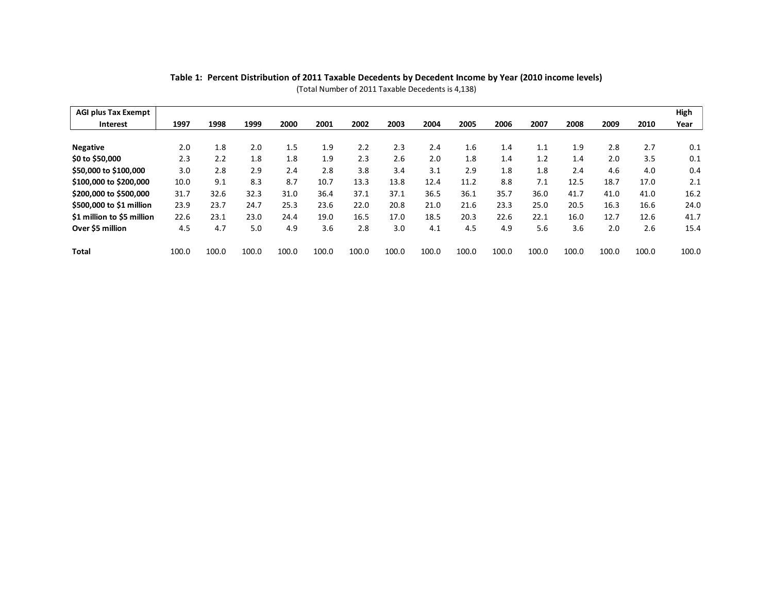| Table 1: Percent Distribution of 2011 Taxable Decedents by Decedent Income by Year (2010 income levels)<br>(Total Number of 2011 Taxable Decedents is 4,138) |       |       |       |       |       |       |       |       |       |       |       |       |       |       |       |
|--------------------------------------------------------------------------------------------------------------------------------------------------------------|-------|-------|-------|-------|-------|-------|-------|-------|-------|-------|-------|-------|-------|-------|-------|
| <b>AGI plus Tax Exempt</b>                                                                                                                                   |       |       |       |       |       |       |       |       |       |       |       |       |       |       | High  |
| <b>Interest</b>                                                                                                                                              | 1997  | 1998  | 1999  | 2000  | 2001  | 2002  | 2003  | 2004  | 2005  | 2006  | 2007  | 2008  | 2009  | 2010  | Year  |
| <b>Negative</b>                                                                                                                                              | 2.0   | 1.8   | 2.0   | 1.5   | 1.9   | 2.2   | 2.3   | 2.4   | 1.6   | 1.4   | 1.1   | 1.9   | 2.8   | 2.7   | 0.1   |
| \$0 to \$50,000                                                                                                                                              | 2.3   | 2.2   | 1.8   | 1.8   | 1.9   | 2.3   | 2.6   | 2.0   | 1.8   | 1.4   | 1.2   | 1.4   | 2.0   | 3.5   | 0.1   |
| \$50,000 to \$100,000                                                                                                                                        | 3.0   | 2.8   | 2.9   | 2.4   | 2.8   | 3.8   | 3.4   | 3.1   | 2.9   | 1.8   | 1.8   | 2.4   | 4.6   | 4.0   | 0.4   |
| \$100,000 to \$200,000                                                                                                                                       | 10.0  | 9.1   | 8.3   | 8.7   | 10.7  | 13.3  | 13.8  | 12.4  | 11.2  | 8.8   | 7.1   | 12.5  | 18.7  | 17.0  | 2.1   |
| \$200,000 to \$500,000                                                                                                                                       | 31.7  | 32.6  | 32.3  | 31.0  | 36.4  | 37.1  | 37.1  | 36.5  | 36.1  | 35.7  | 36.0  | 41.7  | 41.0  | 41.0  | 16.2  |
| \$500,000 to \$1 million                                                                                                                                     | 23.9  | 23.7  | 24.7  | 25.3  | 23.6  | 22.0  | 20.8  | 21.0  | 21.6  | 23.3  | 25.0  | 20.5  | 16.3  | 16.6  | 24.0  |
| \$1 million to \$5 million                                                                                                                                   | 22.6  | 23.1  | 23.0  | 24.4  | 19.0  | 16.5  | 17.0  | 18.5  | 20.3  | 22.6  | 22.1  | 16.0  | 12.7  | 12.6  | 41.7  |
| Over \$5 million                                                                                                                                             | 4.5   | 4.7   | 5.0   | 4.9   | 3.6   | 2.8   | 3.0   | 4.1   | 4.5   | 4.9   | 5.6   | 3.6   | 2.0   | 2.6   | 15.4  |
| <b>Total</b>                                                                                                                                                 | 100.0 | 100.0 | 100.0 | 100.0 | 100.0 | 100.0 | 100.0 | 100.0 | 100.0 | 100.0 | 100.0 | 100.0 | 100.0 | 100.0 | 100.0 |

**Table 1: Percent Distribution of 2011 Taxable Decedents by Decedent Income by Year (2010 income levels)** (Total Number of 2011 Taxable Decedents is 4,138)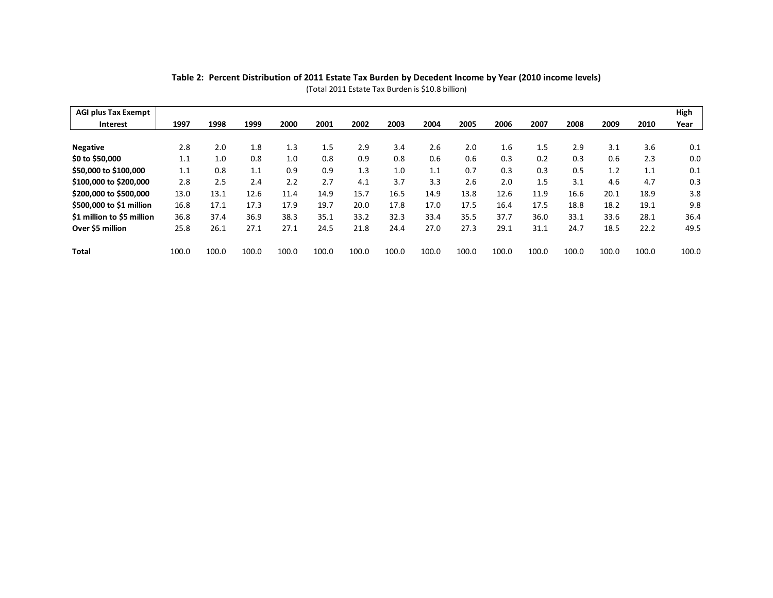| Table 2: Percent Distribution of 2011 Estate Tax Burden by Decedent Income by Year (2010 income levels)<br>(Total 2011 Estate Tax Burden is \$10.8 billion) |       |       |       |       |       |       |       |       |       |       |       |       |       |       |       |
|-------------------------------------------------------------------------------------------------------------------------------------------------------------|-------|-------|-------|-------|-------|-------|-------|-------|-------|-------|-------|-------|-------|-------|-------|
| <b>AGI plus Tax Exempt</b>                                                                                                                                  |       |       |       |       |       |       |       |       |       |       |       |       |       |       | High  |
| <b>Interest</b>                                                                                                                                             | 1997  | 1998  | 1999  | 2000  | 2001  | 2002  | 2003  | 2004  | 2005  | 2006  | 2007  | 2008  | 2009  | 2010  | Year  |
| <b>Negative</b>                                                                                                                                             | 2.8   | 2.0   | 1.8   | 1.3   | 1.5   | 2.9   | 3.4   | 2.6   | 2.0   | 1.6   | 1.5   | 2.9   | 3.1   | 3.6   | 0.1   |
| \$0 to \$50,000                                                                                                                                             | 1.1   | 1.0   | 0.8   | 1.0   | 0.8   | 0.9   | 0.8   | 0.6   | 0.6   | 0.3   | 0.2   | 0.3   | 0.6   | 2.3   | 0.0   |
| \$50,000 to \$100,000                                                                                                                                       | 1.1   | 0.8   | 1.1   | 0.9   | 0.9   | 1.3   | 1.0   | 1.1   | 0.7   | 0.3   | 0.3   | 0.5   | 1.2   | 1.1   | 0.1   |
| \$100,000 to \$200,000                                                                                                                                      | 2.8   | 2.5   | 2.4   | 2.2   | 2.7   | 4.1   | 3.7   | 3.3   | 2.6   | 2.0   | 1.5   | 3.1   | 4.6   | 4.7   | 0.3   |
| \$200,000 to \$500,000                                                                                                                                      | 13.0  | 13.1  | 12.6  | 11.4  | 14.9  | 15.7  | 16.5  | 14.9  | 13.8  | 12.6  | 11.9  | 16.6  | 20.1  | 18.9  | 3.8   |
| \$500,000 to \$1 million                                                                                                                                    | 16.8  | 17.1  | 17.3  | 17.9  | 19.7  | 20.0  | 17.8  | 17.0  | 17.5  | 16.4  | 17.5  | 18.8  | 18.2  | 19.1  | 9.8   |
| \$1 million to \$5 million                                                                                                                                  | 36.8  | 37.4  | 36.9  | 38.3  | 35.1  | 33.2  | 32.3  | 33.4  | 35.5  | 37.7  | 36.0  | 33.1  | 33.6  | 28.1  | 36.4  |
| Over \$5 million                                                                                                                                            | 25.8  | 26.1  | 27.1  | 27.1  | 24.5  | 21.8  | 24.4  | 27.0  | 27.3  | 29.1  | 31.1  | 24.7  | 18.5  | 22.2  | 49.5  |
| <b>Total</b>                                                                                                                                                | 100.0 | 100.0 | 100.0 | 100.0 | 100.0 | 100.0 | 100.0 | 100.0 | 100.0 | 100.0 | 100.0 | 100.0 | 100.0 | 100.0 | 100.0 |

**Table 2: Percent Distribution of 2011 Estate Tax Burden by Decedent Income by Year (2010 income levels)** (Total 2011 Estate Tax Burden is \$10.8 billion)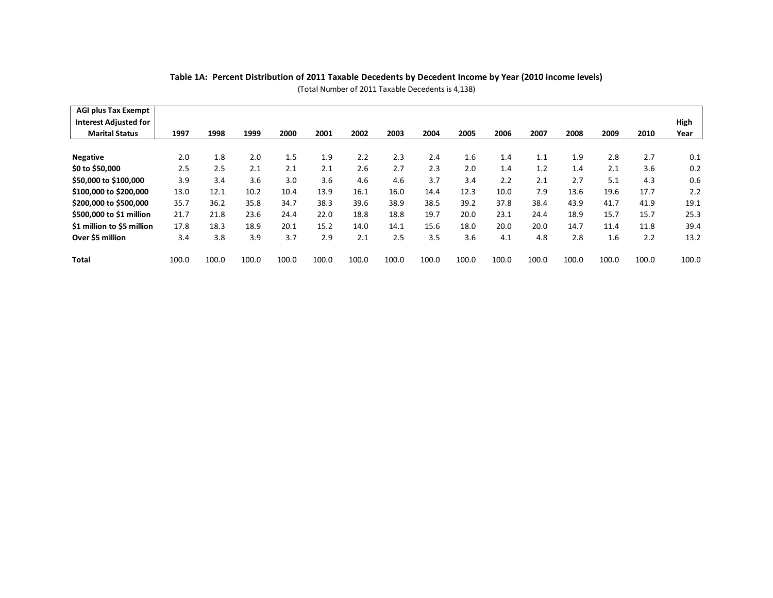| <b>AGI plus Tax Exempt</b>   |       |       |       |       |       |       |       |       |       |       |       |       |       |       |       |
|------------------------------|-------|-------|-------|-------|-------|-------|-------|-------|-------|-------|-------|-------|-------|-------|-------|
| <b>Interest Adjusted for</b> |       |       |       |       |       |       |       |       |       |       |       |       |       |       | High  |
| <b>Marital Status</b>        | 1997  | 1998  | 1999  | 2000  | 2001  | 2002  | 2003  | 2004  | 2005  | 2006  | 2007  | 2008  | 2009  | 2010  | Year  |
| <b>Negative</b>              | 2.0   | 1.8   | 2.0   | 1.5   | 1.9   | 2.2   | 2.3   | 2.4   | 1.6   | 1.4   | 1.1   | 1.9   | 2.8   | 2.7   | 0.1   |
| \$0 to \$50,000              | 2.5   | 2.5   | 2.1   | 2.1   | 2.1   | 2.6   | 2.7   | 2.3   | 2.0   | 1.4   | 1.2   | 1.4   | 2.1   | 3.6   | 0.2   |
| \$50,000 to \$100,000        | 3.9   | 3.4   | 3.6   | 3.0   | 3.6   | 4.6   | 4.6   | 3.7   | 3.4   | 2.2   | 2.1   | 2.7   | 5.1   | 4.3   | 0.6   |
| \$100,000 to \$200,000       | 13.0  | 12.1  | 10.2  | 10.4  | 13.9  | 16.1  | 16.0  | 14.4  | 12.3  | 10.0  | 7.9   | 13.6  | 19.6  | 17.7  | 2.2   |
| \$200,000 to \$500,000       | 35.7  | 36.2  | 35.8  | 34.7  | 38.3  | 39.6  | 38.9  | 38.5  | 39.2  | 37.8  | 38.4  | 43.9  | 41.7  | 41.9  | 19.1  |
| \$500,000 to \$1 million     | 21.7  | 21.8  | 23.6  | 24.4  | 22.0  | 18.8  | 18.8  | 19.7  | 20.0  | 23.1  | 24.4  | 18.9  | 15.7  | 15.7  | 25.3  |
| \$1 million to \$5 million   | 17.8  | 18.3  | 18.9  | 20.1  | 15.2  | 14.0  | 14.1  | 15.6  | 18.0  | 20.0  | 20.0  | 14.7  | 11.4  | 11.8  | 39.4  |
| Over \$5 million             | 3.4   | 3.8   | 3.9   | 3.7   | 2.9   | 2.1   | 2.5   | 3.5   | 3.6   | 4.1   | 4.8   | 2.8   | 1.6   | 2.2   | 13.2  |
| Total                        | 100.0 | 100.0 | 100.0 | 100.0 | 100.0 | 100.0 | 100.0 | 100.0 | 100.0 | 100.0 | 100.0 | 100.0 | 100.0 | 100.0 | 100.0 |

**Table 1A: Percent Distribution of 2011 Taxable Decedents by Decedent Income by Year (2010 income levels)** (Total Number of 2011 Taxable Decedents is 4,138)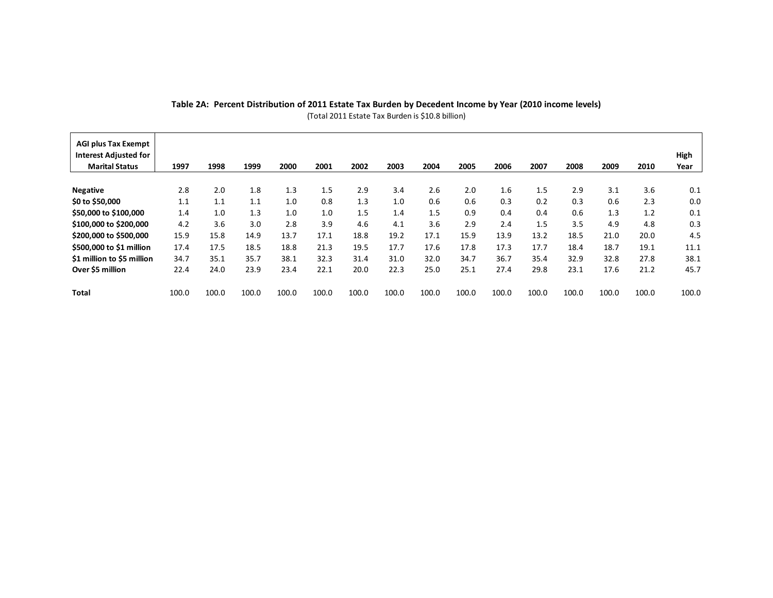| Table 2A: Percent Distribution of 2011 Estate Tax Burden by Decedent Income by Year (2010 income levels)<br>(Total 2011 Estate Tax Burden is \$10.8 billion) |       |       |       |       |       |       |       |       |       |       |       |       |       |       |              |
|--------------------------------------------------------------------------------------------------------------------------------------------------------------|-------|-------|-------|-------|-------|-------|-------|-------|-------|-------|-------|-------|-------|-------|--------------|
| <b>AGI plus Tax Exempt</b><br><b>Interest Adjusted for</b><br><b>Marital Status</b>                                                                          | 1997  | 1998  | 1999  | 2000  | 2001  | 2002  | 2003  | 2004  | 2005  | 2006  | 2007  | 2008  | 2009  | 2010  | High<br>Year |
| <b>Negative</b>                                                                                                                                              | 2.8   | 2.0   | 1.8   | 1.3   | 1.5   | 2.9   | 3.4   | 2.6   | 2.0   | 1.6   | 1.5   | 2.9   | 3.1   | 3.6   | 0.1          |
| \$0 to \$50,000                                                                                                                                              | 1.1   | 1.1   | 1.1   | 1.0   | 0.8   | 1.3   | 1.0   | 0.6   | 0.6   | 0.3   | 0.2   | 0.3   | 0.6   | 2.3   | 0.0          |
| \$50,000 to \$100,000                                                                                                                                        | 1.4   | 1.0   | 1.3   | 1.0   | 1.0   | 1.5   | 1.4   | 1.5   | 0.9   | 0.4   | 0.4   | 0.6   | 1.3   | 1.2   | 0.1          |
| \$100,000 to \$200,000                                                                                                                                       | 4.2   | 3.6   | 3.0   | 2.8   | 3.9   | 4.6   | 4.1   | 3.6   | 2.9   | 2.4   | 1.5   | 3.5   | 4.9   | 4.8   | 0.3          |
| \$200,000 to \$500,000                                                                                                                                       | 15.9  | 15.8  | 14.9  | 13.7  | 17.1  | 18.8  | 19.2  | 17.1  | 15.9  | 13.9  | 13.2  | 18.5  | 21.0  | 20.0  | 4.5          |
| \$500,000 to \$1 million                                                                                                                                     | 17.4  | 17.5  | 18.5  | 18.8  | 21.3  | 19.5  | 17.7  | 17.6  | 17.8  | 17.3  | 17.7  | 18.4  | 18.7  | 19.1  | 11.1         |
| \$1 million to \$5 million                                                                                                                                   | 34.7  | 35.1  | 35.7  | 38.1  | 32.3  | 31.4  | 31.0  | 32.0  | 34.7  | 36.7  | 35.4  | 32.9  | 32.8  | 27.8  | 38.1         |
| Over \$5 million                                                                                                                                             | 22.4  | 24.0  | 23.9  | 23.4  | 22.1  | 20.0  | 22.3  | 25.0  | 25.1  | 27.4  | 29.8  | 23.1  | 17.6  | 21.2  | 45.7         |
| Total                                                                                                                                                        | 100.0 | 100.0 | 100.0 | 100.0 | 100.0 | 100.0 | 100.0 | 100.0 | 100.0 | 100.0 | 100.0 | 100.0 | 100.0 | 100.0 | 100.0        |

# (Total 2011 Estate Tax Burden is \$10.8 billion)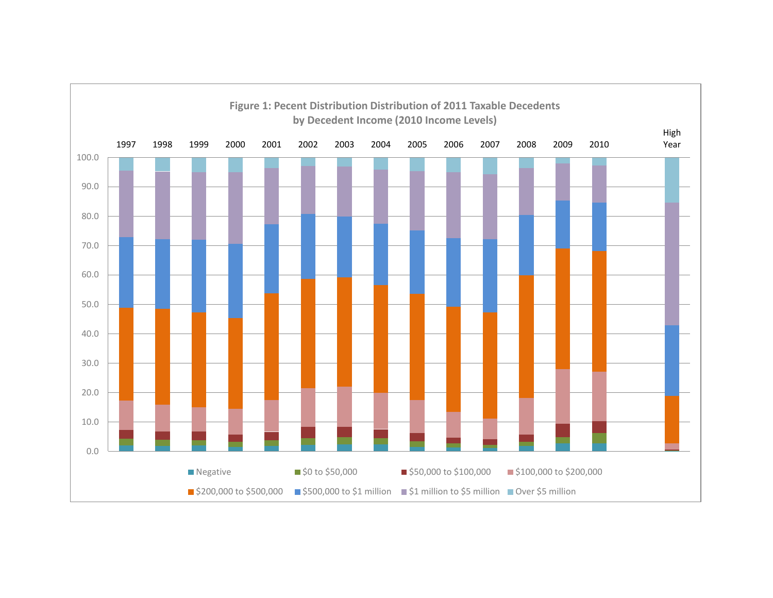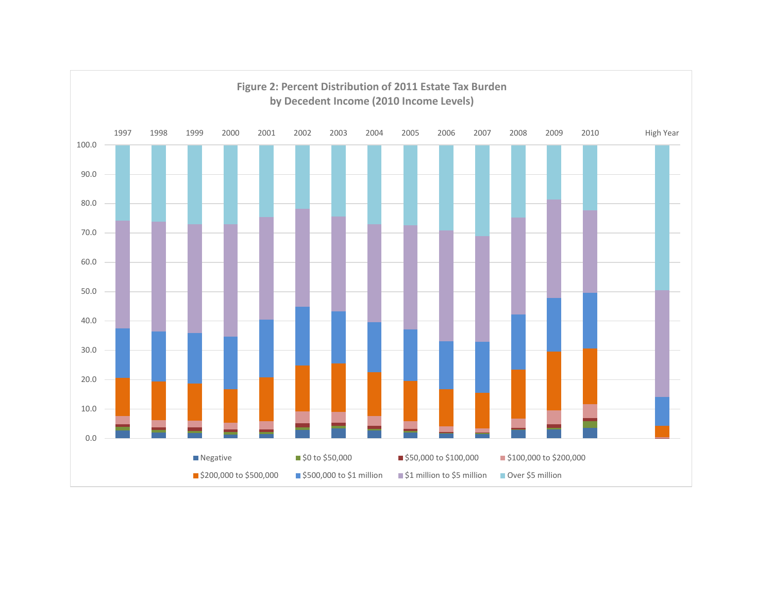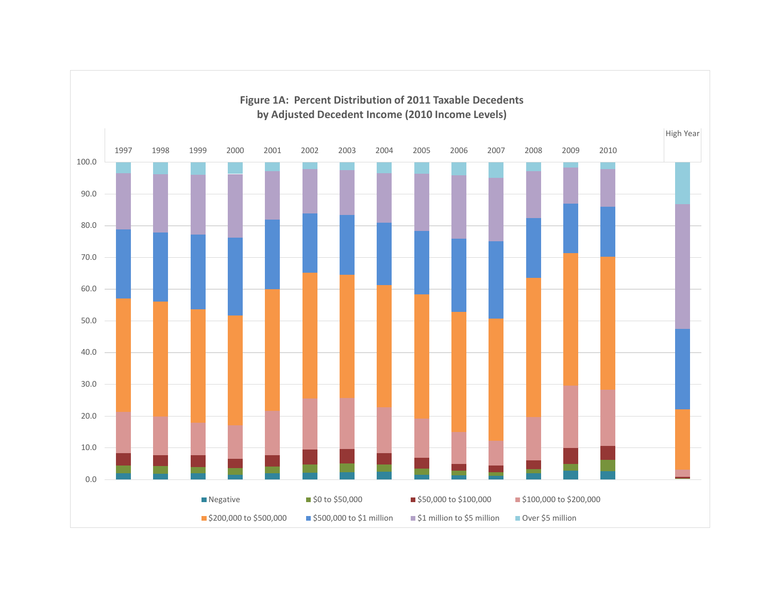